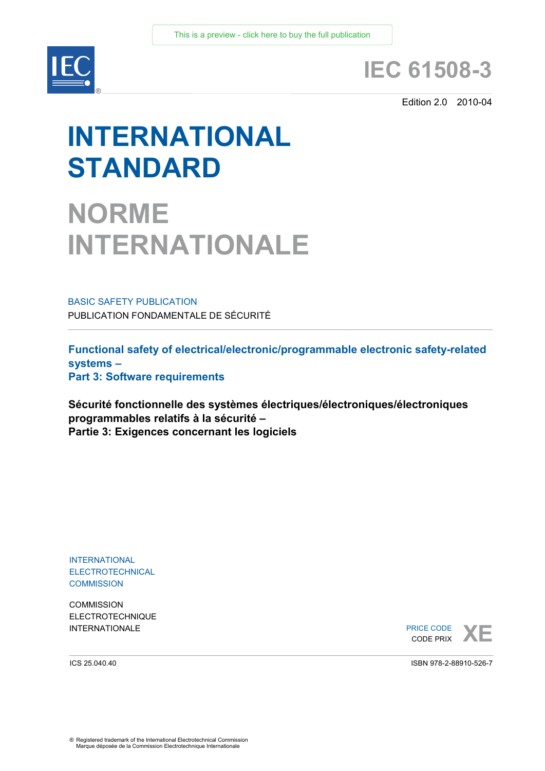

# **IEC 61508-3**

Edition 2.0 2010-04

# **INTERNATIONAL STANDARD**

# **NORME INTERNATIONALE**

BASIC SAFETY PUBLICATION PUBLICATION FONDAMENTALE DE SÉCURITÉ

**Functional safety of electrical/electronic/programmable electronic safety-related systems – Part 3: Software requirements** 

**Sécurité fonctionnelle des systèmes électriques/électroniques/électroniques programmables relatifs à la sécurité – Partie 3: Exigences concernant les logiciels** 

INTERNATIONAL ELECTROTECHNICAL **COMMISSION** 

**COMMISSION** ELECTROTECHNIQUE



ICS 25.040.40

ISBN 978-2-88910-526-7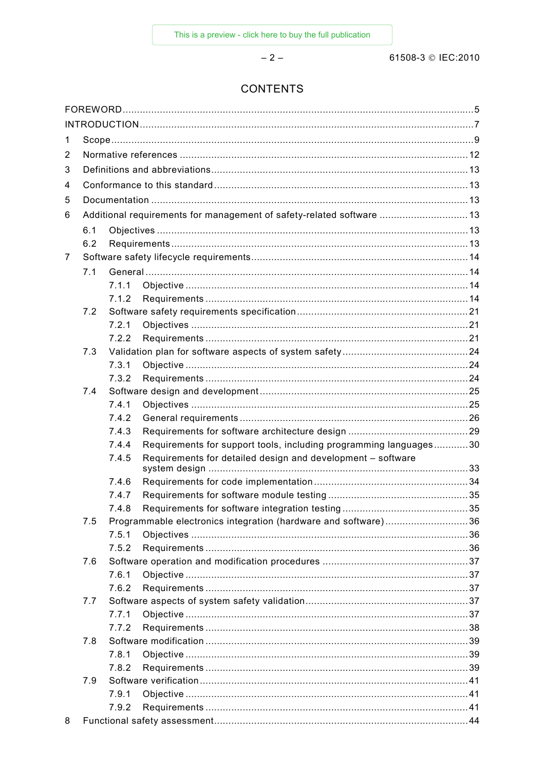$-2-$ 

# **CONTENTS**

| 1              |     |                |                                                                       |  |  |
|----------------|-----|----------------|-----------------------------------------------------------------------|--|--|
| $\overline{2}$ |     |                |                                                                       |  |  |
| 3              |     |                |                                                                       |  |  |
| 4              |     |                |                                                                       |  |  |
| 5              |     |                |                                                                       |  |  |
|                |     |                |                                                                       |  |  |
| 6              |     |                | Additional requirements for management of safety-related software  13 |  |  |
|                | 6.1 |                |                                                                       |  |  |
|                | 6.2 |                |                                                                       |  |  |
| $\overline{7}$ |     |                |                                                                       |  |  |
|                | 7.1 |                |                                                                       |  |  |
|                |     | 7.1.1          |                                                                       |  |  |
|                |     | 7.1.2          |                                                                       |  |  |
|                | 7.2 |                |                                                                       |  |  |
|                |     | 7.2.1          |                                                                       |  |  |
|                |     | 7.2.2          |                                                                       |  |  |
|                | 7.3 |                |                                                                       |  |  |
|                |     | 7.3.1<br>7.3.2 |                                                                       |  |  |
|                | 7.4 |                |                                                                       |  |  |
|                |     | 7.4.1          |                                                                       |  |  |
|                |     | 7.4.2          |                                                                       |  |  |
|                |     | 7.4.3          |                                                                       |  |  |
|                |     | 7.4.4          | Requirements for support tools, including programming languages30     |  |  |
|                |     | 7.4.5          | Requirements for detailed design and development - software           |  |  |
|                |     |                |                                                                       |  |  |
|                |     | 7.4.6          |                                                                       |  |  |
|                |     | 7.4.7          |                                                                       |  |  |
|                |     | 7.4.8          |                                                                       |  |  |
|                | 7.5 |                | Programmable electronics integration (hardware and software)36        |  |  |
|                |     | 7.5.1          |                                                                       |  |  |
|                |     | 7.5.2          |                                                                       |  |  |
|                | 7.6 |                |                                                                       |  |  |
|                |     | 7.6.1          |                                                                       |  |  |
|                |     | 7.6.2          |                                                                       |  |  |
|                | 7.7 |                |                                                                       |  |  |
|                |     | 7.7.1          |                                                                       |  |  |
|                |     | 7.7.2          |                                                                       |  |  |
|                | 7.8 |                |                                                                       |  |  |
|                |     | 7.8.1          |                                                                       |  |  |
|                |     | 7.8.2          |                                                                       |  |  |
|                | 7.9 |                |                                                                       |  |  |
|                |     | 7.9.1          |                                                                       |  |  |
| 8              |     | 7.9.2          |                                                                       |  |  |
|                |     |                |                                                                       |  |  |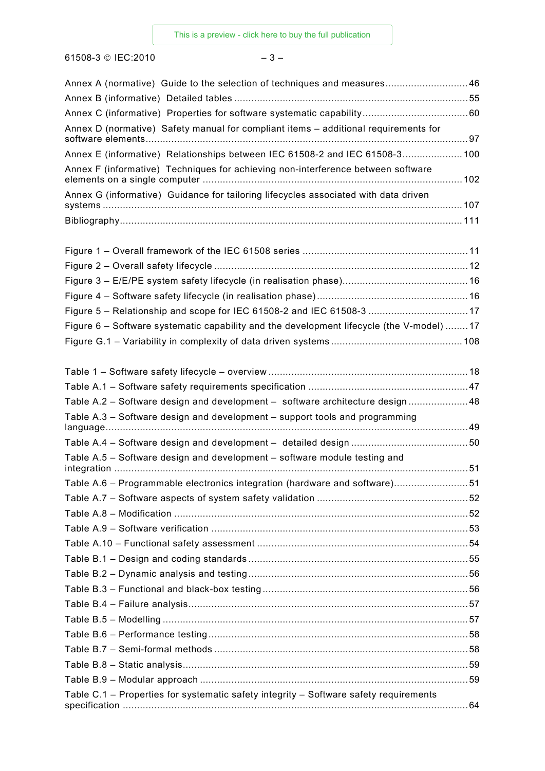$0 \t -3 -$ 

| Annex A (normative) Guide to the selection of techniques and measures46                  |  |
|------------------------------------------------------------------------------------------|--|
|                                                                                          |  |
|                                                                                          |  |
| Annex D (normative) Safety manual for compliant items - additional requirements for      |  |
|                                                                                          |  |
| Annex E (informative) Relationships between IEC 61508-2 and IEC 61508-3 100              |  |
| Annex F (informative) Techniques for achieving non-interference between software         |  |
| Annex G (informative) Guidance for tailoring lifecycles associated with data driven      |  |
|                                                                                          |  |
|                                                                                          |  |
|                                                                                          |  |
|                                                                                          |  |
|                                                                                          |  |
|                                                                                          |  |
|                                                                                          |  |
| Figure 5 - Relationship and scope for IEC 61508-2 and IEC 61508-3  17                    |  |
| Figure 6 - Software systematic capability and the development lifecycle (the V-model) 17 |  |
|                                                                                          |  |
|                                                                                          |  |
|                                                                                          |  |
|                                                                                          |  |
| Table A.2 - Software design and development - software architecture design48             |  |
| Table A.3 - Software design and development - support tools and programming              |  |
|                                                                                          |  |
|                                                                                          |  |
| Table A.5 - Software design and development - software module testing and                |  |
| Table A.6 - Programmable electronics integration (hardware and software)51               |  |
|                                                                                          |  |
|                                                                                          |  |
|                                                                                          |  |
|                                                                                          |  |
|                                                                                          |  |
|                                                                                          |  |
|                                                                                          |  |
|                                                                                          |  |
|                                                                                          |  |
|                                                                                          |  |
|                                                                                          |  |
|                                                                                          |  |
|                                                                                          |  |
| Table C.1 - Properties for systematic safety integrity - Software safety requirements    |  |
|                                                                                          |  |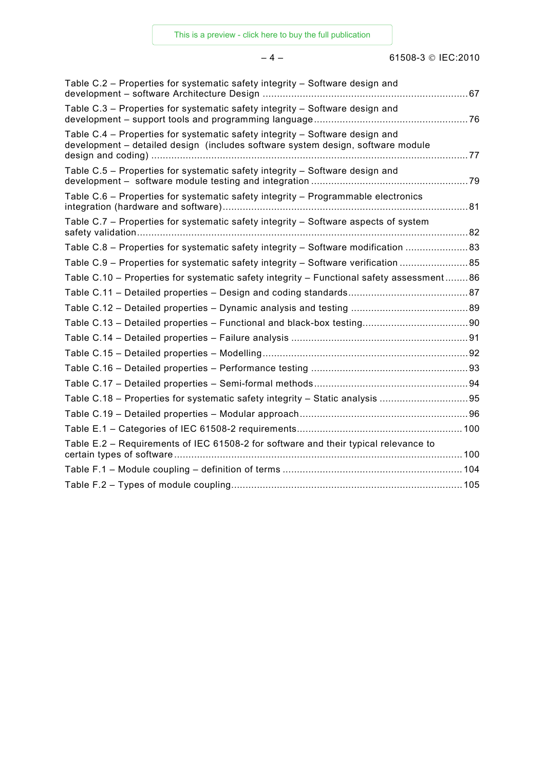| Table C.2 - Properties for systematic safety integrity - Software design and                                                                                    |  |
|-----------------------------------------------------------------------------------------------------------------------------------------------------------------|--|
| Table C.3 - Properties for systematic safety integrity - Software design and                                                                                    |  |
| Table C.4 – Properties for systematic safety integrity – Software design and<br>development - detailed design (includes software system design, software module |  |
| Table C.5 - Properties for systematic safety integrity - Software design and                                                                                    |  |
| Table C.6 - Properties for systematic safety integrity - Programmable electronics                                                                               |  |
| Table C.7 - Properties for systematic safety integrity - Software aspects of system                                                                             |  |
| Table C.8 - Properties for systematic safety integrity - Software modification  83                                                                              |  |
| Table C.9 - Properties for systematic safety integrity - Software verification  85                                                                              |  |
| Table C.10 - Properties for systematic safety integrity - Functional safety assessment86                                                                        |  |
|                                                                                                                                                                 |  |
|                                                                                                                                                                 |  |
|                                                                                                                                                                 |  |
|                                                                                                                                                                 |  |
|                                                                                                                                                                 |  |
|                                                                                                                                                                 |  |
|                                                                                                                                                                 |  |
| Table C.18 - Properties for systematic safety integrity - Static analysis 95                                                                                    |  |
|                                                                                                                                                                 |  |
|                                                                                                                                                                 |  |
| Table E.2 - Requirements of IEC 61508-2 for software and their typical relevance to                                                                             |  |
|                                                                                                                                                                 |  |
|                                                                                                                                                                 |  |
|                                                                                                                                                                 |  |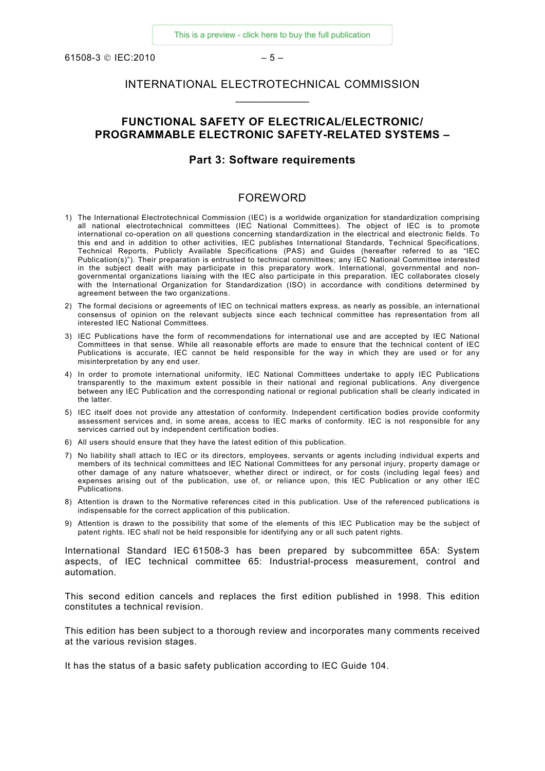<span id="page-4-0"></span>61508-3 © IFC:2010 – 5 –

# INTERNATIONAL ELECTROTECHNICAL COMMISSION  $\frac{1}{2}$  ,  $\frac{1}{2}$  ,  $\frac{1}{2}$  ,  $\frac{1}{2}$  ,  $\frac{1}{2}$  ,  $\frac{1}{2}$

# **FUNCTIONAL SAFETY OF ELECTRICAL/ELECTRONIC/ PROGRAMMABLE ELECTRONIC SAFETY-RELATED SYSTEMS –**

### **Part 3: Software requirements**

## FOREWORD

- 1) The International Electrotechnical Commission (IEC) is a worldwide organization for standardization comprising all national electrotechnical committees (IEC National Committees). The object of IEC is to promote international co-operation on all questions concerning standardization in the electrical and electronic fields. To this end and in addition to other activities, IEC publishes International Standards, Technical Specifications, Technical Reports, Publicly Available Specifications (PAS) and Guides (hereafter referred to as "IEC Publication(s)"). Their preparation is entrusted to technical committees; any IEC National Committee interested in the subject dealt with may participate in this preparatory work. International, governmental and nongovernmental organizations liaising with the IEC also participate in this preparation. IEC collaborates closely with the International Organization for Standardization (ISO) in accordance with conditions determined by agreement between the two organizations.
- 2) The formal decisions or agreements of IEC on technical matters express, as nearly as possible, an international consensus of opinion on the relevant subjects since each technical committee has representation from all interested IEC National Committees.
- 3) IEC Publications have the form of recommendations for international use and are accepted by IEC National Committees in that sense. While all reasonable efforts are made to ensure that the technical content of IEC Publications is accurate, IEC cannot be held responsible for the way in which they are used or for any misinterpretation by any end user.
- 4) In order to promote international uniformity, IEC National Committees undertake to apply IEC Publications transparently to the maximum extent possible in their national and regional publications. Any divergence between any IEC Publication and the corresponding national or regional publication shall be clearly indicated in the latter.
- 5) IEC itself does not provide any attestation of conformity. Independent certification bodies provide conformity assessment services and, in some areas, access to IEC marks of conformity. IEC is not responsible for any services carried out by independent certification bodies.
- 6) All users should ensure that they have the latest edition of this publication.
- 7) No liability shall attach to IEC or its directors, employees, servants or agents including individual experts and members of its technical committees and IEC National Committees for any personal injury, property damage or other damage of any nature whatsoever, whether direct or indirect, or for costs (including legal fees) and expenses arising out of the publication, use of, or reliance upon, this IEC Publication or any other IEC Publications.
- 8) Attention is drawn to the Normative references cited in this publication. Use of the referenced publications is indispensable for the correct application of this publication.
- 9) Attention is drawn to the possibility that some of the elements of this IEC Publication may be the subject of patent rights. IEC shall not be held responsible for identifying any or all such patent rights.

International Standard IEC 61508-3 has been prepared by subcommittee 65A: System aspects, of IEC technical committee 65: Industrial-process measurement, control and automation.

This second edition cancels and replaces the first edition published in 1998. This edition constitutes a technical revision.

This edition has been subject to a thorough review and incorporates many comments received at the various revision stages.

It has the status of a basic safety publication according to IEC Guide 104.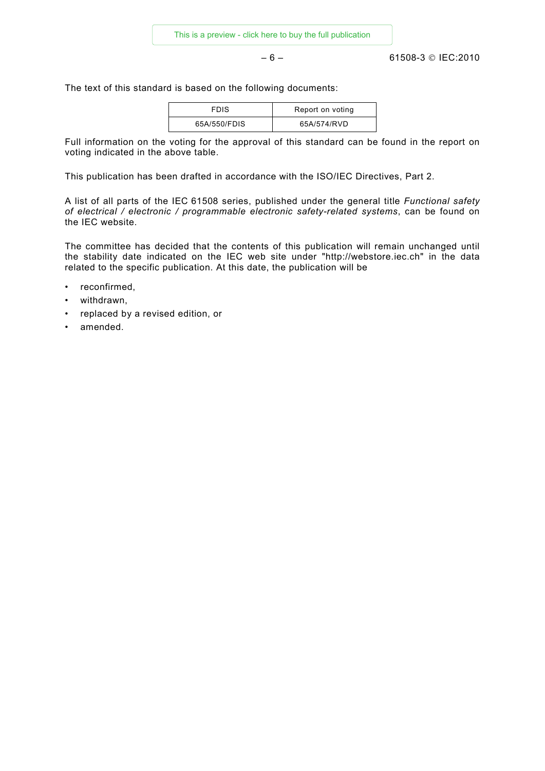$-6 - 6$  – 61508-3 © IEC:2010

The text of this standard is based on the following documents:

| <b>FDIS</b>  | Report on voting |
|--------------|------------------|
| 65A/550/FDIS | 65A/574/RVD      |

Full information on the voting for the approval of this standard can be found in the report on voting indicated in the above table.

This publication has been drafted in accordance with the ISO/IEC Directives, Part 2.

A list of all parts of the IEC 61508 series, published under the general title *Functional safety of electrical / electronic / programmable electronic safety-related systems*, can be found on the IEC website.

The committee has decided that the contents of this publication will remain unchanged until the stability date indicated on the IEC web site under "http://webstore.iec.ch" in the data related to the specific publication. At this date, the publication will be

- reconfirmed,
- withdrawn,
- replaced by a revised edition, or
- amended.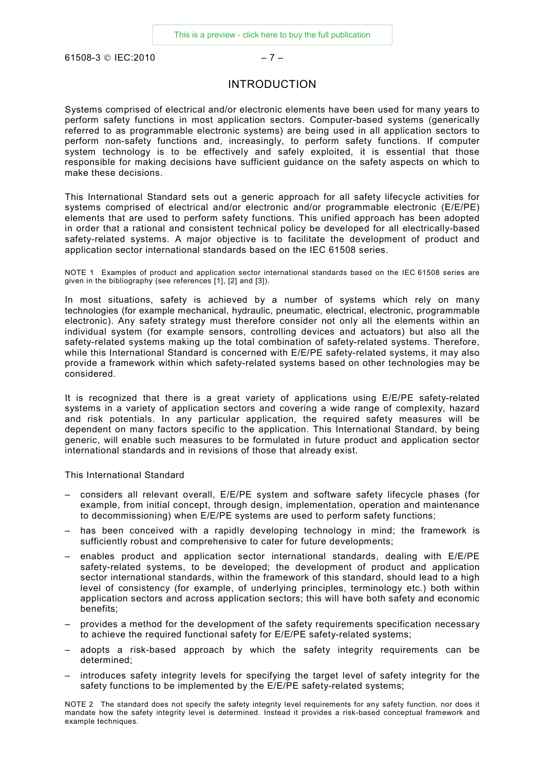<span id="page-6-0"></span> $61508-3$  © IFC: 2010 – 7 –

# INTRODUCTION

Systems comprised of electrical and/or electronic elements have been used for many years to perform safety functions in most application sectors. Computer-based systems (generically referred to as programmable electronic systems) are being used in all application sectors to perform non-safety functions and, increasingly, to perform safety functions. If computer system technology is to be effectively and safely exploited, it is essential that those responsible for making decisions have sufficient guidance on the safety aspects on which to make these decisions.

This International Standard sets out a generic approach for all safety lifecycle activities for systems comprised of electrical and/or electronic and/or programmable electronic (E/E/PE) elements that are used to perform safety functions. This unified approach has been adopted in order that a rational and consistent technical policy be developed for all electrically-based safety-related systems. A major objective is to facilitate the development of product and application sector international standards based on the IEC 61508 series.

NOTE 1 Examples of product and application sector international standards based on the IEC 61508 series are given in the bibliography (see references [1], [2] and [3]).

In most situations, safety is achieved by a number of systems which rely on many technologies (for example mechanical, hydraulic, pneumatic, electrical, electronic, programmable electronic). Any safety strategy must therefore consider not only all the elements within an individual system (for example sensors, controlling devices and actuators) but also all the safety-related systems making up the total combination of safety-related systems. Therefore, while this International Standard is concerned with E/E/PE safety-related systems, it may also provide a framework within which safety-related systems based on other technologies may be considered.

It is recognized that there is a great variety of applications using E/E/PE safety-related systems in a variety of application sectors and covering a wide range of complexity, hazard and risk potentials. In any particular application, the required safety measures will be dependent on many factors specific to the application. This International Standard, by being generic, will enable such measures to be formulated in future product and application sector international standards and in revisions of those that already exist.

This International Standard

- considers all relevant overall, E/E/PE system and software safety lifecycle phases (for example, from initial concept, through design, implementation, operation and maintenance to decommissioning) when E/E/PE systems are used to perform safety functions;
- has been conceived with a rapidly developing technology in mind; the framework is sufficiently robust and comprehensive to cater for future developments;
- enables product and application sector international standards, dealing with E/E/PE safety-related systems, to be developed; the development of product and application sector international standards, within the framework of this standard, should lead to a high level of consistency (for example, of underlying principles, terminology etc.) both within application sectors and across application sectors; this will have both safety and economic benefits;
- provides a method for the development of the safety requirements specification necessary to achieve the required functional safety for E/E/PE safety-related systems;
- adopts a risk-based approach by which the safety integrity requirements can be determined;
- introduces safety integrity levels for specifying the target level of safety integrity for the safety functions to be implemented by the E/E/PE safety-related systems;

NOTE 2 The standard does not specify the safety integrity level requirements for any safety function, nor does it mandate how the safety integrity level is determined. Instead it provides a risk-based conceptual framework and example techniques.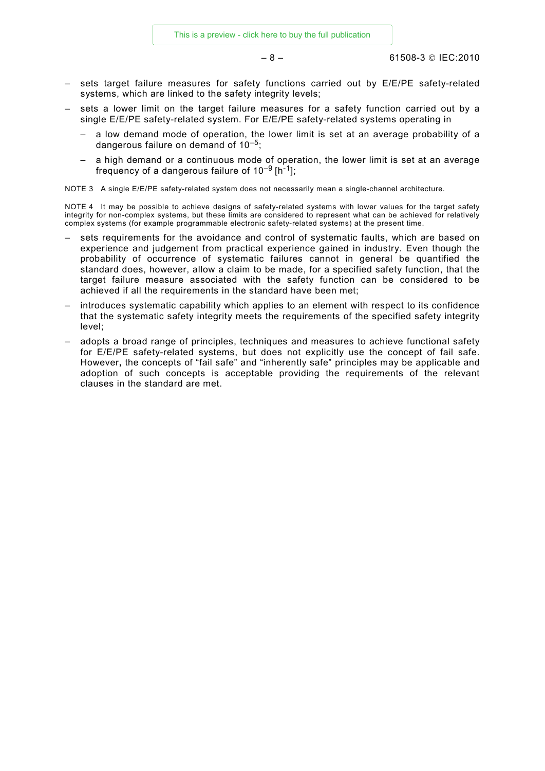- sets target failure measures for safety functions carried out by E/E/PE safety-related systems, which are linked to the safety integrity levels;
- sets a lower limit on the target failure measures for a safety function carried out by a single E/E/PE safety-related system. For E/E/PE safety-related systems operating in
	- a low demand mode of operation, the lower limit is set at an average probability of a dangerous failure on demand of 10–5;
	- a high demand or a continuous mode of operation, the lower limit is set at an average frequency of a dangerous failure of  $10^{-9}$  [h<sup>-1</sup>];
- NOTE 3 A single E/E/PE safety-related system does not necessarily mean a single-channel architecture.

NOTE 4 It may be possible to achieve designs of safety-related systems with lower values for the target safety integrity for non-complex systems, but these limits are considered to represent what can be achieved for relatively complex systems (for example programmable electronic safety-related systems) at the present time.

- sets requirements for the avoidance and control of systematic faults, which are based on experience and judgement from practical experience gained in industry. Even though the probability of occurrence of systematic failures cannot in general be quantified the standard does, however, allow a claim to be made, for a specified safety function, that the target failure measure associated with the safety function can be considered to be achieved if all the requirements in the standard have been met;
- introduces systematic capability which applies to an element with respect to its confidence that the systematic safety integrity meets the requirements of the specified safety integrity level;
- adopts a broad range of principles, techniques and measures to achieve functional safety for E/E/PE safety-related systems, but does not explicitly use the concept of fail safe. However**,** the concepts of "fail safe" and "inherently safe" principles may be applicable and adoption of such concepts is acceptable providing the requirements of the relevant clauses in the standard are met.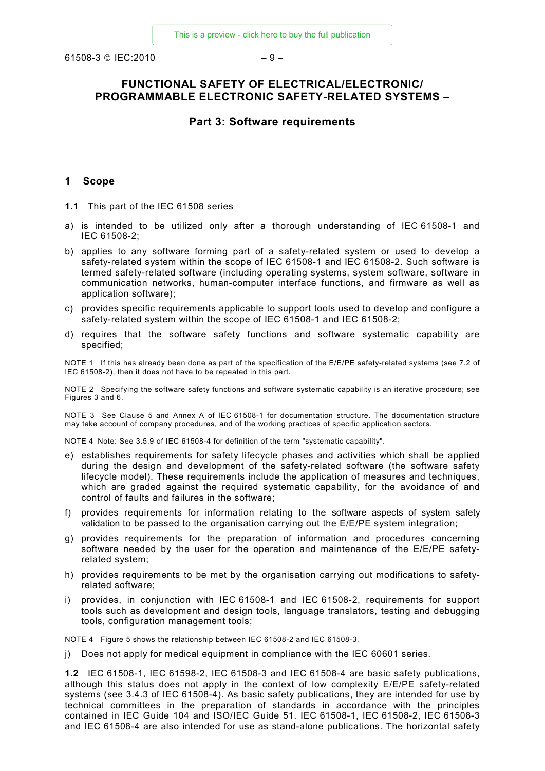# <span id="page-8-0"></span>**FUNCTIONAL SAFETY OF ELECTRICAL/ELECTRONIC/ PROGRAMMABLE ELECTRONIC SAFETY-RELATED SYSTEMS –**

## **Part 3: Software requirements**

### **1 Scope**

- **1.1** This part of the IEC 61508 series
- a) is intended to be utilized only after a thorough understanding of IEC 61508-1 and IEC 61508-2;
- b) applies to any software forming part of a safety-related system or used to develop a safety-related system within the scope of IEC 61508-1 and IEC 61508-2. Such software is termed safety-related software (including operating systems, system software, software in communication networks, human-computer interface functions, and firmware as well as application software);
- c) provides specific requirements applicable to support tools used to develop and configure a safety-related system within the scope of IEC 61508-1 and IEC 61508-2;
- d) requires that the software safety functions and software systematic capability are specified;

NOTE 1 If this has already been done as part of the specification of the E/E/PE safety-related systems (see 7.2 of IEC 61508-2), then it does not have to be repeated in this part.

NOTE 2 Specifying the software safety functions and software systematic capability is an iterative procedure; see Figures 3 and 6.

NOTE 3 See Clause 5 and Annex A of IEC 61508-1 for documentation structure. The documentation structure may take account of company procedures, and of the working practices of specific application sectors.

NOTE 4 Note: See 3.5.9 of IEC 61508-4 for definition of the term "systematic capability".

- e) establishes requirements for safety lifecycle phases and activities which shall be applied during the design and development of the safety-related software (the software safety lifecycle model). These requirements include the application of measures and techniques, which are graded against the required systematic capability, for the avoidance of and control of faults and failures in the software;
- f) provides requirements for information relating to the software aspects of system safety validation to be passed to the organisation carrying out the E/E/PE system integration;
- g) provides requirements for the preparation of information and procedures concerning software needed by the user for the operation and maintenance of the E/E/PE safetyrelated system;
- h) provides requirements to be met by the organisation carrying out modifications to safetyrelated software;
- i) provides, in conjunction with IEC 61508-1 and IEC 61508-2, requirements for support tools such as development and design tools, language translators, testing and debugging tools, configuration management tools;

NOTE 4 Figure 5 shows the relationship between IEC 61508-2 and IEC 61508-3.

j) Does not apply for medical equipment in compliance with the IEC 60601 series.

**1.2** IEC 61508-1, IEC 61598-2, IEC 61508-3 and IEC 61508-4 are basic safety publications, although this status does not apply in the context of low complexity E/E/PE safety-related systems (see 3.4.3 of IEC 61508-4). As basic safety publications, they are intended for use by technical committees in the preparation of standards in accordance with the principles contained in IEC Guide 104 and ISO/IEC Guide 51. IEC 61508-1, IEC 61508-2, IEC 61508-3 and IEC 61508-4 are also intended for use as stand-alone publications. The horizontal safety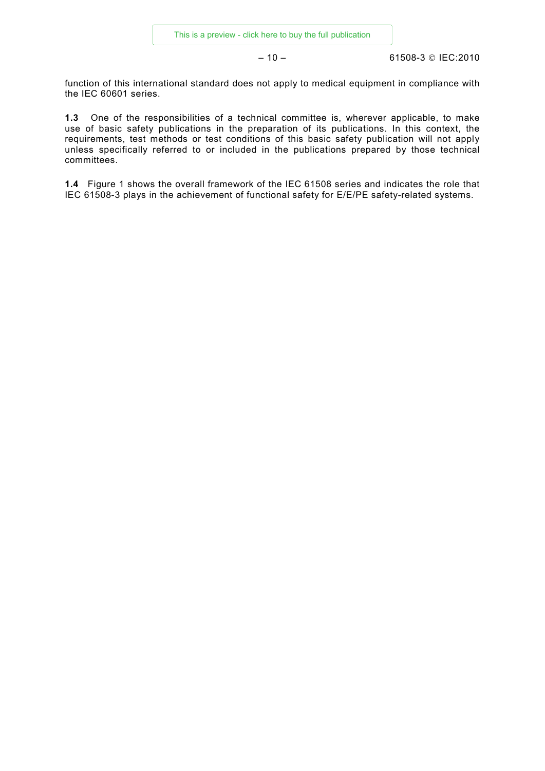– 10 – 61508-3 © IEC:2010

function of this international standard does not apply to medical equipment in compliance with the IEC 60601 series.

**1.3** One of the responsibilities of a technical committee is, wherever applicable, to make use of basic safety publications in the preparation of its publications. In this context, the requirements, test methods or test conditions of this basic safety publication will not apply unless specifically referred to or included in the publications prepared by those technical committees.

**1.4** Figure 1 shows the overall framework of the IEC 61508 series and indicates the role that IEC 61508-3 plays in the achievement of functional safety for E/E/PE safety-related systems.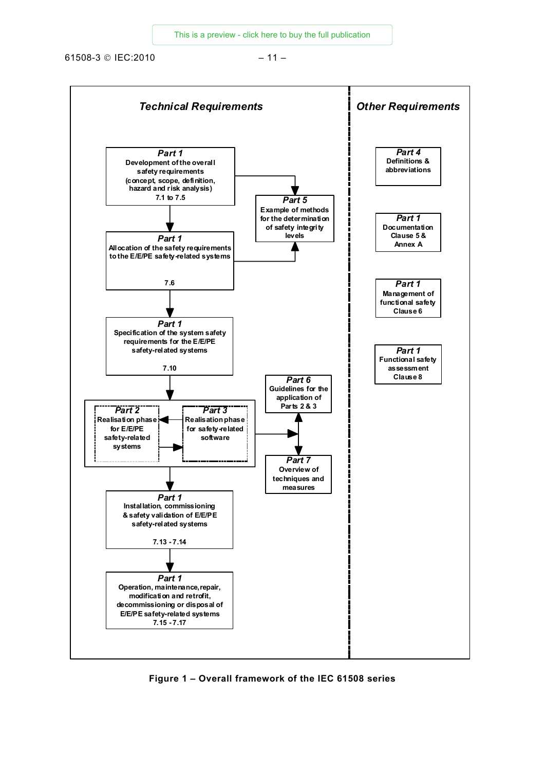<span id="page-10-0"></span>61508-3 © IEC:2010 – 11 –



**Figure 1 – Overall framework of the IEC 61508 series**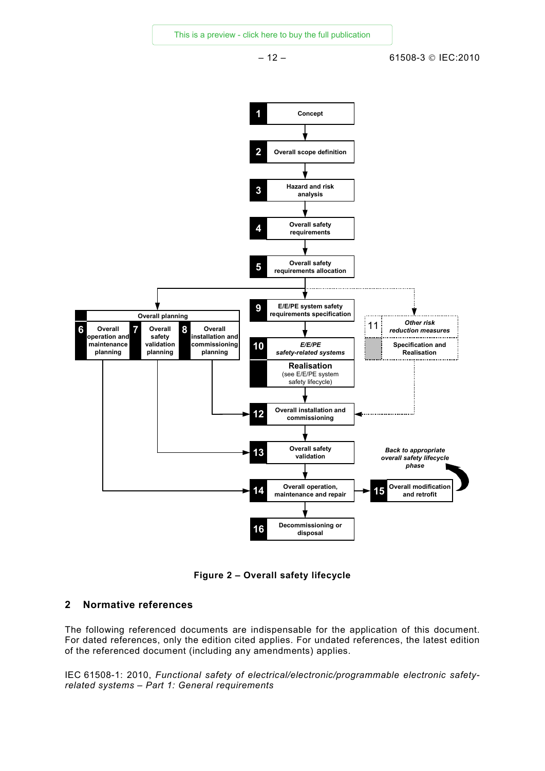[This is a preview - click here to buy the full publication](https://webstore.iec.ch/publication/5517&preview=1)

<span id="page-11-0"></span>

**Figure 2 – Overall safety lifecycle** 

# **2 Normative references**

The following referenced documents are indispensable for the application of this document. For dated references, only the edition cited applies. For undated references, the latest edition of the referenced document (including any amendments) applies.

IEC 61508-1: 2010, *Functional safety of electrical/electronic/programmable electronic safetyrelated systems – Part 1: General requirements*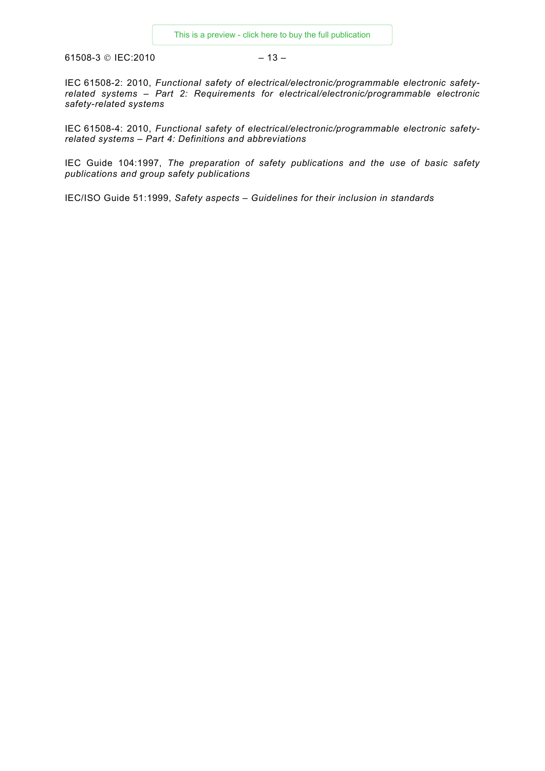<span id="page-12-0"></span>61508-3 © IEC:2010 – 13 –

IEC 61508-2: 2010, *Functional safety of electrical/electronic/programmable electronic safetyrelated systems – Part 2: Requirements for electrical/electronic/programmable electronic safety-related systems*

IEC 61508-4: 2010, *Functional safety of electrical/electronic/programmable electronic safetyrelated systems – Part 4: Definitions and abbreviations* 

IEC Guide 104:1997, *The preparation of safety publications and the use of basic safety publications and group safety publications* 

IEC/ISO Guide 51:1999, *Safety aspects – Guidelines for their inclusion in standards*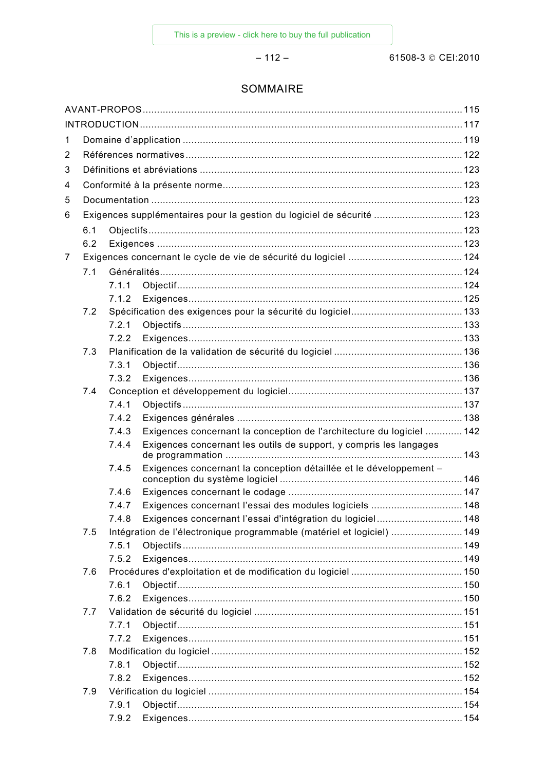$-112-$ 

61508-3 © CEI:2010

# SOMMAIRE

| 1 |            |       |                                                                        |  |  |  |
|---|------------|-------|------------------------------------------------------------------------|--|--|--|
| 2 |            |       |                                                                        |  |  |  |
| 3 |            |       |                                                                        |  |  |  |
| 4 |            |       |                                                                        |  |  |  |
| 5 |            |       |                                                                        |  |  |  |
| 6 |            |       | Exigences supplémentaires pour la gestion du logiciel de sécurité  123 |  |  |  |
|   |            |       |                                                                        |  |  |  |
|   | 6.1<br>6.2 |       |                                                                        |  |  |  |
| 7 |            |       |                                                                        |  |  |  |
|   | 7.1        |       |                                                                        |  |  |  |
|   |            | 7.1.1 |                                                                        |  |  |  |
|   |            | 7.1.2 |                                                                        |  |  |  |
|   | 7.2        |       |                                                                        |  |  |  |
|   |            | 7.2.1 |                                                                        |  |  |  |
|   |            | 7.2.2 |                                                                        |  |  |  |
|   | 7.3        |       |                                                                        |  |  |  |
|   |            | 7.3.1 |                                                                        |  |  |  |
|   |            | 7.3.2 |                                                                        |  |  |  |
|   | 7.4        |       |                                                                        |  |  |  |
|   |            | 7.4.1 |                                                                        |  |  |  |
|   |            | 7.4.2 |                                                                        |  |  |  |
|   |            | 7.4.3 | Exigences concernant la conception de l'architecture du logiciel  142  |  |  |  |
|   |            | 7.4.4 | Exigences concernant les outils de support, y compris les langages     |  |  |  |
|   |            | 7.4.5 | Exigences concernant la conception détaillée et le développement -     |  |  |  |
|   |            | 7.4.6 |                                                                        |  |  |  |
|   |            | 7.4.7 | Exigences concernant l'essai des modules logiciels  148                |  |  |  |
|   |            | 7.4.8 | Exigences concernant l'essai d'intégration du logiciel 148             |  |  |  |
|   | 7.5        |       | Intégration de l'électronique programmable (matériel et logiciel)  149 |  |  |  |
|   |            | 7.5.1 |                                                                        |  |  |  |
|   |            | 7.5.2 |                                                                        |  |  |  |
|   | 7.6        |       |                                                                        |  |  |  |
|   |            | 7.6.1 |                                                                        |  |  |  |
|   |            | 7.6.2 |                                                                        |  |  |  |
|   | 7.7        |       |                                                                        |  |  |  |
|   |            | 7.7.1 |                                                                        |  |  |  |
|   |            | 7.7.2 |                                                                        |  |  |  |
|   | 7.8        |       |                                                                        |  |  |  |
|   |            | 7.8.1 |                                                                        |  |  |  |
|   |            | 7.8.2 |                                                                        |  |  |  |
|   | 7.9        | 7.9.1 |                                                                        |  |  |  |
|   |            | 7.9.2 |                                                                        |  |  |  |
|   |            |       |                                                                        |  |  |  |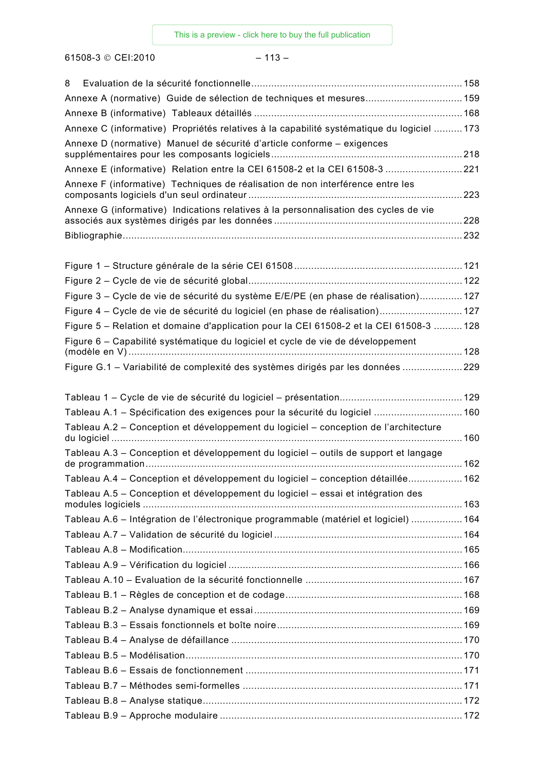| 61508-3 © CEI:2010 |  |  |  |  |  |  |
|--------------------|--|--|--|--|--|--|
|--------------------|--|--|--|--|--|--|

# $-113-$

| 8                                                                                         |  |
|-------------------------------------------------------------------------------------------|--|
| Annexe A (normative) Guide de sélection de techniques et mesures 159                      |  |
|                                                                                           |  |
| Annexe C (informative) Propriétés relatives à la capabilité systématique du logiciel  173 |  |
| Annexe D (normative) Manuel de sécurité d'article conforme – exigences                    |  |
| Annexe E (informative) Relation entre la CEI 61508-2 et la CEI 61508-3  221               |  |
| Annexe F (informative) Techniques de réalisation de non interférence entre les            |  |
|                                                                                           |  |
| Annexe G (informative) Indications relatives à la personnalisation des cycles de vie      |  |
|                                                                                           |  |
|                                                                                           |  |
|                                                                                           |  |
|                                                                                           |  |
| Figure 3 - Cycle de vie de sécurité du système E/E/PE (en phase de réalisation) 127       |  |
| Figure 4 – Cycle de vie de sécurité du logiciel (en phase de réalisation) 127             |  |
| Figure 5 - Relation et domaine d'application pour la CEI 61508-2 et la CEI 61508-3  128   |  |
| Figure 6 - Capabilité systématique du logiciel et cycle de vie de développement           |  |
| Figure G.1 - Variabilité de complexité des systèmes dirigés par les données 229           |  |
|                                                                                           |  |
|                                                                                           |  |
| Tableau A.1 - Spécification des exigences pour la sécurité du logiciel  160               |  |
| Tableau A.2 – Conception et développement du logiciel – conception de l'architecture      |  |
| Tableau A.3 - Conception et développement du logiciel - outils de support et langage      |  |
| Tableau A.4 - Conception et développement du logiciel - conception détaillée 162          |  |
| Tableau A.5 - Conception et développement du logiciel - essai et intégration des          |  |
| Tableau A.6 - Intégration de l'électronique programmable (matériel et logiciel)  164      |  |
|                                                                                           |  |
|                                                                                           |  |
|                                                                                           |  |
|                                                                                           |  |
|                                                                                           |  |
|                                                                                           |  |
|                                                                                           |  |
|                                                                                           |  |
|                                                                                           |  |
|                                                                                           |  |
|                                                                                           |  |
|                                                                                           |  |
|                                                                                           |  |
|                                                                                           |  |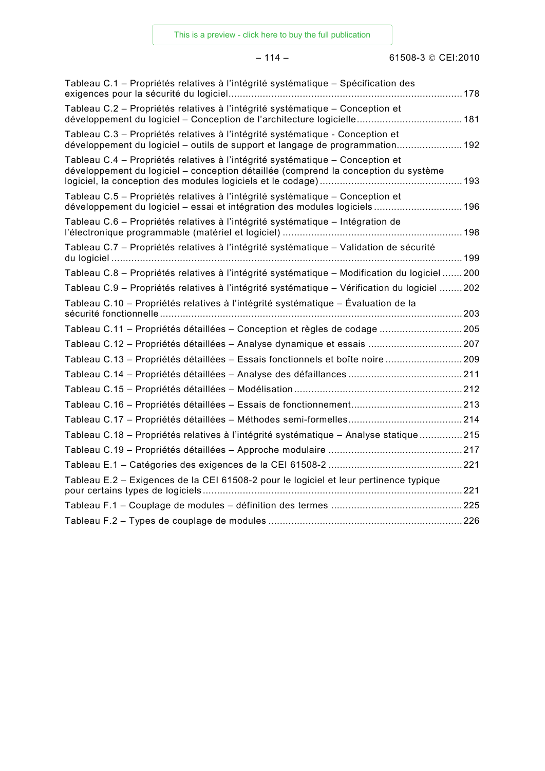– 114 – 61508-3 © CEI:2010

| Tableau C.1 - Propriétés relatives à l'intégrité systématique - Spécification des                                                                                    |  |
|----------------------------------------------------------------------------------------------------------------------------------------------------------------------|--|
| Tableau C.2 – Propriétés relatives à l'intégrité systématique – Conception et                                                                                        |  |
| Tableau C.3 - Propriétés relatives à l'intégrité systématique - Conception et<br>développement du logiciel - outils de support et langage de programmation 192       |  |
| Tableau C.4 – Propriétés relatives à l'intégrité systématique – Conception et<br>développement du logiciel – conception détaillée (comprend la conception du système |  |
| Tableau C.5 - Propriétés relatives à l'intégrité systématique - Conception et<br>développement du logiciel – essai et intégration des modules logiciels  196         |  |
| Tableau C.6 - Propriétés relatives à l'intégrité systématique - Intégration de                                                                                       |  |
| Tableau C.7 - Propriétés relatives à l'intégrité systématique - Validation de sécurité                                                                               |  |
| Tableau C.8 - Propriétés relatives à l'intégrité systématique - Modification du logiciel  200                                                                        |  |
| Tableau C.9 - Propriétés relatives à l'intégrité systématique - Vérification du logiciel  202                                                                        |  |
| Tableau C.10 - Propriétés relatives à l'intégrité systématique - Évaluation de la                                                                                    |  |
| Tableau C.11 – Propriétés détaillées – Conception et règles de codage  205                                                                                           |  |
| Tableau C.12 – Propriétés détaillées – Analyse dynamique et essais  207                                                                                              |  |
| Tableau C.13 - Propriétés détaillées - Essais fonctionnels et boîte noire 209                                                                                        |  |
|                                                                                                                                                                      |  |
|                                                                                                                                                                      |  |
|                                                                                                                                                                      |  |
|                                                                                                                                                                      |  |
| Tableau C.18 - Propriétés relatives à l'intégrité systématique - Analyse statique 215                                                                                |  |
|                                                                                                                                                                      |  |
|                                                                                                                                                                      |  |
| Tableau E.2 - Exigences de la CEI 61508-2 pour le logiciel et leur pertinence typique                                                                                |  |
|                                                                                                                                                                      |  |
|                                                                                                                                                                      |  |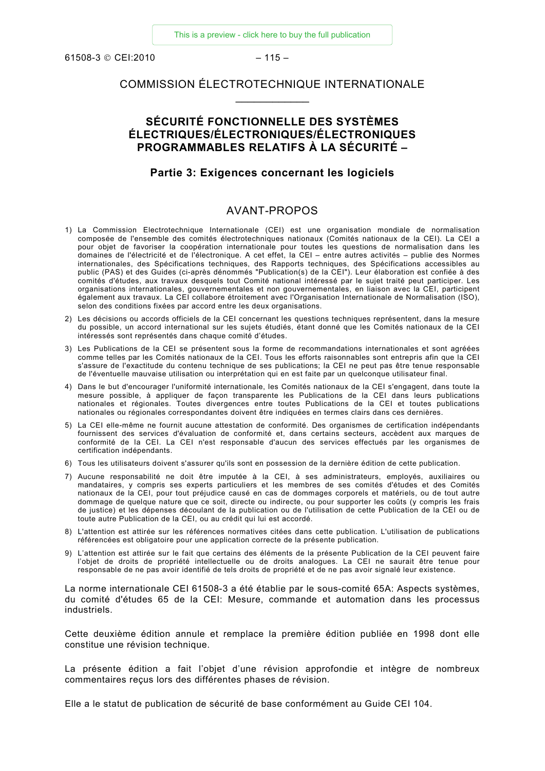<span id="page-16-0"></span>61508-3 © CEI:2010 – 115 –

# COMMISSION ÉLECTROTECHNIQUE INTERNATIONALE  $\frac{1}{2}$  ,  $\frac{1}{2}$  ,  $\frac{1}{2}$  ,  $\frac{1}{2}$  ,  $\frac{1}{2}$  ,  $\frac{1}{2}$

# **SÉCURITÉ FONCTIONNELLE DES SYSTÈMES ÉLECTRIQUES/ÉLECTRONIQUES/ÉLECTRONIQUES PROGRAMMABLES RELATIFS À LA SÉCURITÉ –**

### **Partie 3: Exigences concernant les logiciels**

# AVANT-PROPOS

- 1) La Commission Electrotechnique Internationale (CEI) est une organisation mondiale de normalisation composée de l'ensemble des comités électrotechniques nationaux (Comités nationaux de la CEI). La CEI a pour objet de favoriser la coopération internationale pour toutes les questions de normalisation dans les domaines de l'électricité et de l'électronique. A cet effet, la CEI – entre autres activités – publie des Normes internationales, des Spécifications techniques, des Rapports techniques, des Spécifications accessibles au public (PAS) et des Guides (ci-après dénommés "Publication(s) de la CEI"). Leur élaboration est confiée à des comités d'études, aux travaux desquels tout Comité national intéressé par le sujet traité peut participer. Les organisations internationales, gouvernementales et non gouvernementales, en liaison avec la CEI, participent également aux travaux. La CEI collabore étroitement avec l'Organisation Internationale de Normalisation (ISO), selon des conditions fixées par accord entre les deux organisations.
- 2) Les décisions ou accords officiels de la CEI concernant les questions techniques représentent, dans la mesure du possible, un accord international sur les sujets étudiés, étant donné que les Comités nationaux de la CEI intéressés sont représentés dans chaque comité d'études.
- 3) Les Publications de la CEI se présentent sous la forme de recommandations internationales et sont agréées comme telles par les Comités nationaux de la CEI. Tous les efforts raisonnables sont entrepris afin que la CEI s'assure de l'exactitude du contenu technique de ses publications; la CEI ne peut pas être tenue responsable de l'éventuelle mauvaise utilisation ou interprétation qui en est faite par un quelconque utilisateur final.
- 4) Dans le but d'encourager l'uniformité internationale, les Comités nationaux de la CEI s'engagent, dans toute la mesure possible, à appliquer de façon transparente les Publications de la CEI dans leurs publications nationales et régionales. Toutes divergences entre toutes Publications de la CEI et toutes publications nationales ou régionales correspondantes doivent être indiquées en termes clairs dans ces dernières.
- 5) La CEI elle-même ne fournit aucune attestation de conformité. Des organismes de certification indépendants fournissent des services d'évaluation de conformité et, dans certains secteurs, accèdent aux marques de conformité de la CEI. La CEI n'est responsable d'aucun des services effectués par les organismes de certification indépendants.
- 6) Tous les utilisateurs doivent s'assurer qu'ils sont en possession de la dernière édition de cette publication.
- 7) Aucune responsabilité ne doit être imputée à la CEI, à ses administrateurs, employés, auxiliaires ou mandataires, y compris ses experts particuliers et les membres de ses comités d'études et des Comités nationaux de la CEI, pour tout préjudice causé en cas de dommages corporels et matériels, ou de tout autre dommage de quelque nature que ce soit, directe ou indirecte, ou pour supporter les coûts (y compris les frais de justice) et les dépenses découlant de la publication ou de l'utilisation de cette Publication de la CEI ou de toute autre Publication de la CEI, ou au crédit qui lui est accordé.
- 8) L'attention est attirée sur les références normatives citées dans cette publication. L'utilisation de publications référencées est obligatoire pour une application correcte de la présente publication.
- 9) L'attention est attirée sur le fait que certains des éléments de la présente Publication de la CEI peuvent faire l'objet de droits de propriété intellectuelle ou de droits analogues. La CEI ne saurait être tenue pour responsable de ne pas avoir identifié de tels droits de propriété et de ne pas avoir signalé leur existence.

La norme internationale CEI 61508-3 a été établie par le sous-comité 65A: Aspects systèmes, du comité d'études 65 de la CEI: Mesure, commande et automation dans les processus industriels.

Cette deuxième édition annule et remplace la première édition publiée en 1998 dont elle constitue une révision technique.

La présente édition a fait l'objet d'une révision approfondie et intègre de nombreux commentaires reçus lors des différentes phases de révision.

Elle a le statut de publication de sécurité de base conformément au Guide CEI 104.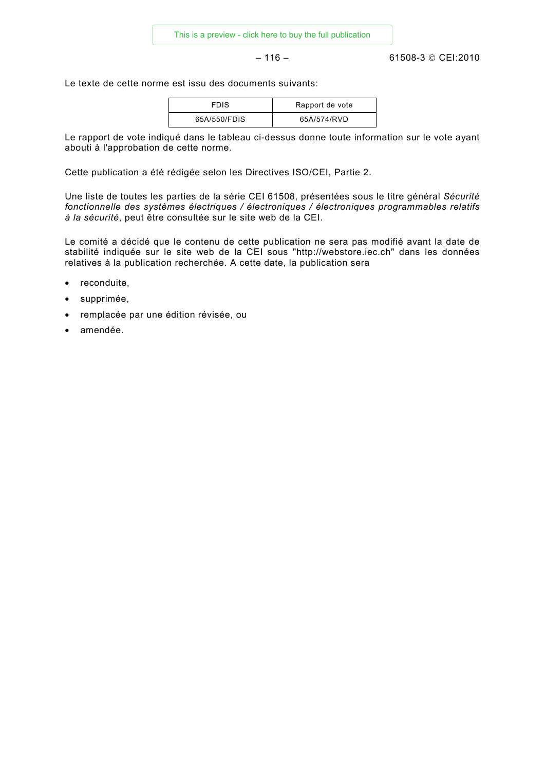$-116 - 61508-3 \circ \text{CE}$ 

Le texte de cette norme est issu des documents suivants:

| <b>FDIS</b>  | Rapport de vote |
|--------------|-----------------|
| 65A/550/FDIS | 65A/574/RVD     |

Le rapport de vote indiqué dans le tableau ci-dessus donne toute information sur le vote ayant abouti à l'approbation de cette norme.

Cette publication a été rédigée selon les Directives ISO/CEI, Partie 2.

Une liste de toutes les parties de la série CEI 61508, présentées sous le titre général *Sécurité fonctionnelle des systèmes électriques / électroniques / électroniques programmables relatifs à la sécurité*, peut être consultée sur le site web de la CEI.

Le comité a décidé que le contenu de cette publication ne sera pas modifié avant la date de stabilité indiquée sur le site web de la CEI sous "http://webstore.iec.ch" dans les données relatives à la publication recherchée. A cette date, la publication sera

- reconduite,
- supprimée,
- remplacée par une édition révisée, ou
- amendée.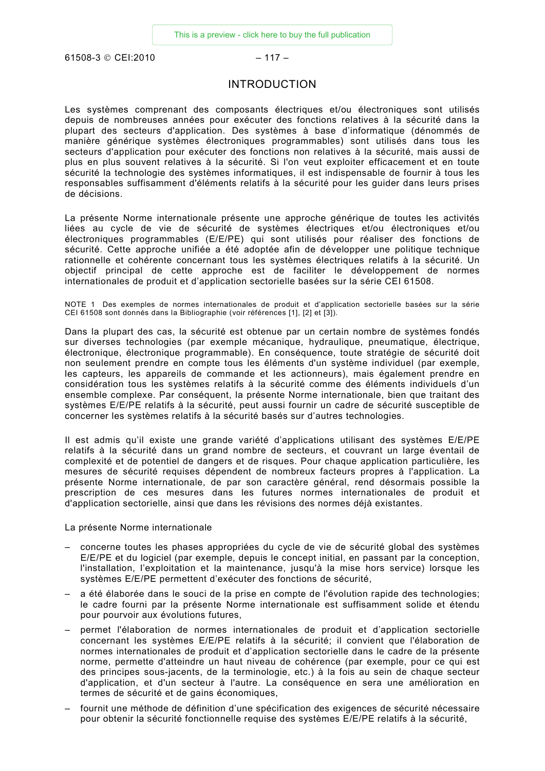<span id="page-18-0"></span>61508-3 © CEI:2010 - 117 -

# INTRODUCTION

Les systèmes comprenant des composants électriques et/ou électroniques sont utilisés depuis de nombreuses années pour exécuter des fonctions relatives à la sécurité dans la plupart des secteurs d'application. Des systèmes à base d'informatique (dénommés de manière générique systèmes électroniques programmables) sont utilisés dans tous les secteurs d'application pour exécuter des fonctions non relatives à la sécurité, mais aussi de plus en plus souvent relatives à la sécurité. Si l'on veut exploiter efficacement et en toute sécurité la technologie des systèmes informatiques, il est indispensable de fournir à tous les responsables suffisamment d'éléments relatifs à la sécurité pour les guider dans leurs prises de décisions.

La présente Norme internationale présente une approche générique de toutes les activités liées au cycle de vie de sécurité de systèmes électriques et/ou électroniques et/ou électroniques programmables (E/E/PE) qui sont utilisés pour réaliser des fonctions de sécurité. Cette approche unifiée a été adoptée afin de développer une politique technique rationnelle et cohérente concernant tous les systèmes électriques relatifs à la sécurité. Un objectif principal de cette approche est de faciliter le développement de normes internationales de produit et d'application sectorielle basées sur la série CEI 61508.

NOTE 1 Des exemples de normes internationales de produit et d'application sectorielle basées sur la série CEI 61508 sont donnés dans la Bibliographie (voir références [1], [2] et [3]).

Dans la plupart des cas, la sécurité est obtenue par un certain nombre de systèmes fondés sur diverses technologies (par exemple mécanique, hydraulique, pneumatique, électrique, électronique, électronique programmable). En conséquence, toute stratégie de sécurité doit non seulement prendre en compte tous les éléments d'un système individuel (par exemple, les capteurs, les appareils de commande et les actionneurs), mais également prendre en considération tous les systèmes relatifs à la sécurité comme des éléments individuels d'un ensemble complexe. Par conséquent, la présente Norme internationale, bien que traitant des systèmes E/E/PE relatifs à la sécurité, peut aussi fournir un cadre de sécurité susceptible de concerner les systèmes relatifs à la sécurité basés sur d'autres technologies.

Il est admis qu'il existe une grande variété d'applications utilisant des systèmes E/E/PE relatifs à la sécurité dans un grand nombre de secteurs, et couvrant un large éventail de complexité et de potentiel de dangers et de risques. Pour chaque application particulière, les mesures de sécurité requises dépendent de nombreux facteurs propres à l'application. La présente Norme internationale, de par son caractère général, rend désormais possible la prescription de ces mesures dans les futures normes internationales de produit et d'application sectorielle, ainsi que dans les révisions des normes déjà existantes.

La présente Norme internationale

- concerne toutes les phases appropriées du cycle de vie de sécurité global des systèmes E/E/PE et du logiciel (par exemple, depuis le concept initial, en passant par la conception, l'installation, l'exploitation et la maintenance, jusqu'à la mise hors service) lorsque les systèmes E/E/PE permettent d'exécuter des fonctions de sécurité,
- a été élaborée dans le souci de la prise en compte de l'évolution rapide des technologies; le cadre fourni par la présente Norme internationale est suffisamment solide et étendu pour pourvoir aux évolutions futures,
- permet l'élaboration de normes internationales de produit et d'application sectorielle concernant les systèmes E/E/PE relatifs à la sécurité; il convient que l'élaboration de normes internationales de produit et d'application sectorielle dans le cadre de la présente norme, permette d'atteindre un haut niveau de cohérence (par exemple, pour ce qui est des principes sous-jacents, de la terminologie, etc.) à la fois au sein de chaque secteur d'application, et d'un secteur à l'autre. La conséquence en sera une amélioration en termes de sécurité et de gains économiques,
- fournit une méthode de définition d'une spécification des exigences de sécurité nécessaire pour obtenir la sécurité fonctionnelle requise des systèmes E/E/PE relatifs à la sécurité,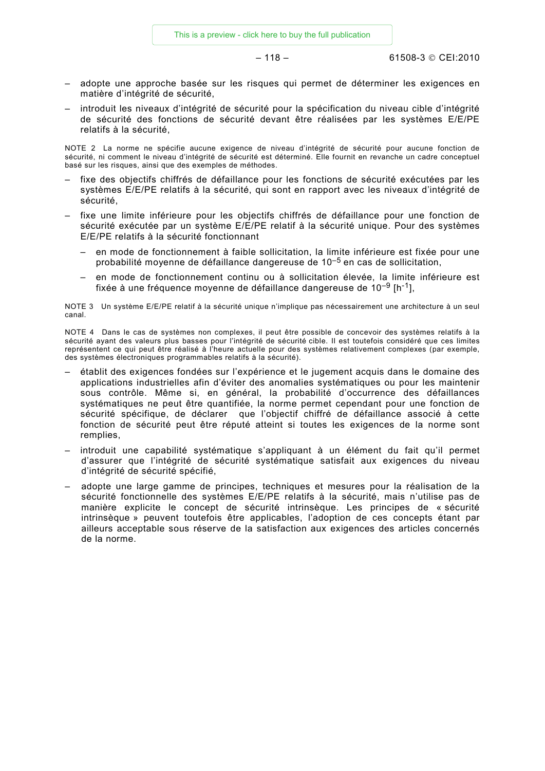– 118 – 61508-3 © CEI:2010

- adopte une approche basée sur les risques qui permet de déterminer les exigences en matière d'intégrité de sécurité,
- introduit les niveaux d'intégrité de sécurité pour la spécification du niveau cible d'intégrité de sécurité des fonctions de sécurité devant être réalisées par les systèmes E/E/PE relatifs à la sécurité,

NOTE 2 La norme ne spécifie aucune exigence de niveau d'intégrité de sécurité pour aucune fonction de sécurité, ni comment le niveau d'intégrité de sécurité est déterminé. Elle fournit en revanche un cadre conceptuel basé sur les risques, ainsi que des exemples de méthodes.

- fixe des objectifs chiffrés de défaillance pour les fonctions de sécurité exécutées par les systèmes E/E/PE relatifs à la sécurité, qui sont en rapport avec les niveaux d'intégrité de sécurité,
- fixe une limite inférieure pour les objectifs chiffrés de défaillance pour une fonction de sécurité exécutée par un système E/E/PE relatif à la sécurité unique. Pour des systèmes E/E/PE relatifs à la sécurité fonctionnant
	- en mode de fonctionnement à faible sollicitation, la limite inférieure est fixée pour une probabilité moyenne de défaillance dangereuse de  $10^{-5}$  en cas de sollicitation,
	- en mode de fonctionnement continu ou à sollicitation élevée, la limite inférieure est fixée à une fréquence moyenne de défaillance dangereuse de  $10^{-9}$  [h<sup>-1</sup>],

NOTE 3 Un système E/E/PE relatif à la sécurité unique n'implique pas nécessairement une architecture à un seul canal.

NOTE 4 Dans le cas de systèmes non complexes, il peut être possible de concevoir des systèmes relatifs à la sécurité ayant des valeurs plus basses pour l'intégrité de sécurité cible. Il est toutefois considéré que ces limites représentent ce qui peut être réalisé à l'heure actuelle pour des systèmes relativement complexes (par exemple, des systèmes électroniques programmables relatifs à la sécurité).

- établit des exigences fondées sur l'expérience et le jugement acquis dans le domaine des applications industrielles afin d'éviter des anomalies systématiques ou pour les maintenir sous contrôle. Même si, en général, la probabilité d'occurrence des défaillances systématiques ne peut être quantifiée, la norme permet cependant pour une fonction de sécurité spécifique, de déclarer que l'objectif chiffré de défaillance associé à cette fonction de sécurité peut être réputé atteint si toutes les exigences de la norme sont remplies,
- introduit une capabilité systématique s'appliquant à un élément du fait qu'il permet d'assurer que l'intégrité de sécurité systématique satisfait aux exigences du niveau d'intégrité de sécurité spécifié,
- adopte une large gamme de principes, techniques et mesures pour la réalisation de la sécurité fonctionnelle des systèmes E/E/PE relatifs à la sécurité, mais n'utilise pas de manière explicite le concept de sécurité intrinsèque. Les principes de « sécurité intrinsèque » peuvent toutefois être applicables, l'adoption de ces concepts étant par ailleurs acceptable sous réserve de la satisfaction aux exigences des articles concernés de la norme.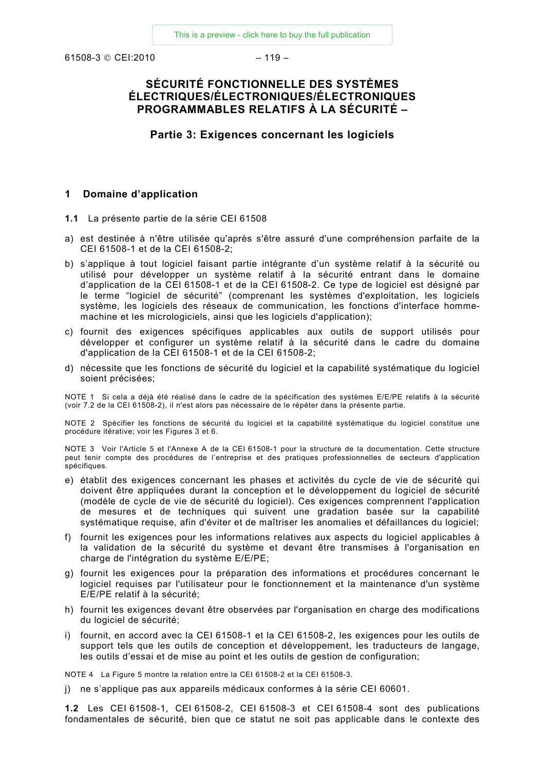<span id="page-20-0"></span>61508-3 © CEI:2010 – 119 –

# **SÉCURITÉ FONCTIONNELLE DES SYSTÈMES ÉLECTRIQUES/ÉLECTRONIQUES/ÉLECTRONIQUES PROGRAMMABLES RELATIFS À LA SÉCURITÉ –**

**Partie 3: Exigences concernant les logiciels** 

# **1 Domaine d'application**

- **1.1** La présente partie de la série CEI 61508
- a) est destinée à n'être utilisée qu'après s'être assuré d'une compréhension parfaite de la CEI 61508-1 et de la CEI 61508-2;
- b) s'applique à tout logiciel faisant partie intégrante d'un système relatif à la sécurité ou utilisé pour développer un système relatif à la sécurité entrant dans le domaine d'application de la CEI 61508-1 et de la CEI 61508-2. Ce type de logiciel est désigné par le terme "logiciel de sécurité" (comprenant les systèmes d'exploitation, les logiciels système, les logiciels des réseaux de communication, les fonctions d'interface hommemachine et les micrologiciels, ainsi que les logiciels d'application);
- c) fournit des exigences spécifiques applicables aux outils de support utilisés pour développer et configurer un système relatif à la sécurité dans le cadre du domaine d'application de la CEI 61508-1 et de la CEI 61508-2;
- d) nécessite que les fonctions de sécurité du logiciel et la capabilité systématique du logiciel soient précisées;

NOTE 1 Si cela a déjà été réalisé dans le cadre de la spécification des systèmes E/E/PE relatifs à la sécurité (voir 7.2 de la CEI 61508-2), il n'est alors pas nécessaire de le répéter dans la présente partie.

NOTE 2 Spécifier les fonctions de sécurité du logiciel et la capabilité systématique du logiciel constitue une procédure itérative; voir les Figures 3 et 6.

NOTE 3 Voir l'Article 5 et l'Annexe A de la CEI 61508-1 pour la structure de la documentation. Cette structure peut tenir compte des procédures de l'entreprise et des pratiques professionnelles de secteurs d'application spécifiques.

- e) établit des exigences concernant les phases et activités du cycle de vie de sécurité qui doivent être appliquées durant la conception et le développement du logiciel de sécurité (modèle de cycle de vie de sécurité du logiciel). Ces exigences comprennent l'application de mesures et de techniques qui suivent une gradation basée sur la capabilité systématique requise, afin d'éviter et de maîtriser les anomalies et défaillances du logiciel;
- f) fournit les exigences pour les informations relatives aux aspects du logiciel applicables à la validation de la sécurité du système et devant être transmises à l'organisation en charge de l'intégration du système E/E/PE;
- g) fournit les exigences pour la préparation des informations et procédures concernant le logiciel requises par l'utilisateur pour le fonctionnement et la maintenance d'un système E/E/PE relatif à la sécurité;
- h) fournit les exigences devant être observées par l'organisation en charge des modifications du logiciel de sécurité;
- i) fournit, en accord avec la CEI 61508-1 et la CEI 61508-2, les exigences pour les outils de support tels que les outils de conception et développement, les traducteurs de langage, les outils d'essai et de mise au point et les outils de gestion de configuration;

NOTE 4 La Figure 5 montre la relation entre la CEI 61508-2 et la CEI 61508-3.

j) ne s'applique pas aux appareils médicaux conformes à la série CEI 60601.

**1.2** Les CEI 61508-1, CEI 61508-2, CEI 61508-3 et CEI 61508-4 sont des publications fondamentales de sécurité, bien que ce statut ne soit pas applicable dans le contexte des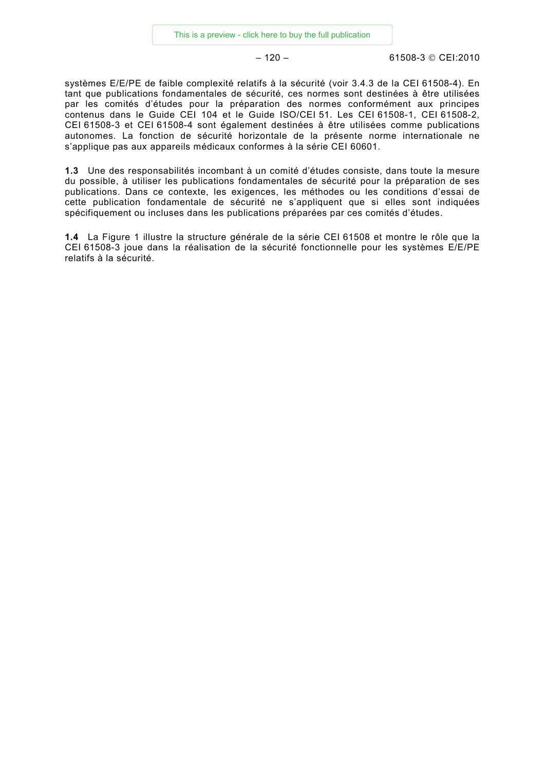– 120 – 61508-3 © CEI:2010

systèmes E/E/PE de faible complexité relatifs à la sécurité (voir 3.4.3 de la CEI 61508-4). En tant que publications fondamentales de sécurité, ces normes sont destinées à être utilisées par les comités d'études pour la préparation des normes conformément aux principes contenus dans le Guide CEI 104 et le Guide ISO/CEI 51. Les CEI 61508-1, CEI 61508-2, CEI 61508-3 et CEI 61508-4 sont également destinées à être utilisées comme publications autonomes. La fonction de sécurité horizontale de la présente norme internationale ne s'applique pas aux appareils médicaux conformes à la série CEI 60601.

**1.3** Une des responsabilités incombant à un comité d'études consiste, dans toute la mesure du possible, à utiliser les publications fondamentales de sécurité pour la préparation de ses publications. Dans ce contexte, les exigences, les méthodes ou les conditions d'essai de cette publication fondamentale de sécurité ne s'appliquent que si elles sont indiquées spécifiquement ou incluses dans les publications préparées par ces comités d'études.

**1.4** La Figure 1 illustre la structure générale de la série CEI 61508 et montre le rôle que la CEI 61508-3 joue dans la réalisation de la sécurité fonctionnelle pour les systèmes E/E/PE relatifs à la sécurité.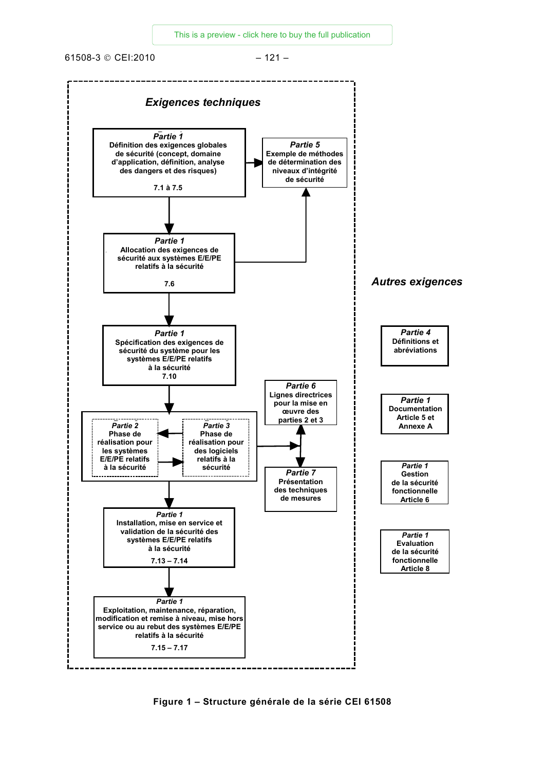<span id="page-22-0"></span>61508-3 © CEI:2010 – 121 –



**Figure 1 – Structure générale de la série CEI 61508**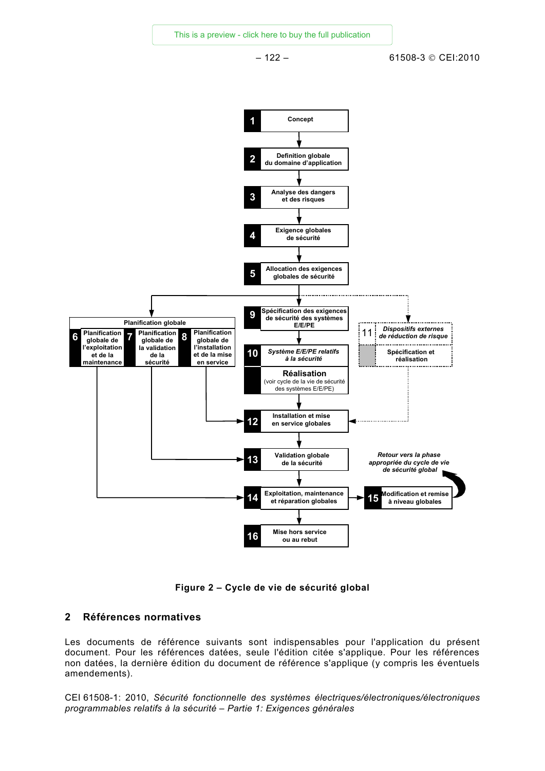[This is a preview - click here to buy the full publication](https://webstore.iec.ch/publication/5517&preview=1)

<span id="page-23-0"></span>

**Figure 2 – Cycle de vie de sécurité global** 

## **2 Références normatives**

Les documents de référence suivants sont indispensables pour l'application du présent document. Pour les références datées, seule l'édition citée s'applique. Pour les références non datées, la dernière édition du document de référence s'applique (y compris les éventuels amendements).

CEI 61508-1: 2010, *Sécurité fonctionnelle des systèmes électriques/électroniques/électroniques programmables relatifs à la sécurité – Partie 1: Exigences générales*